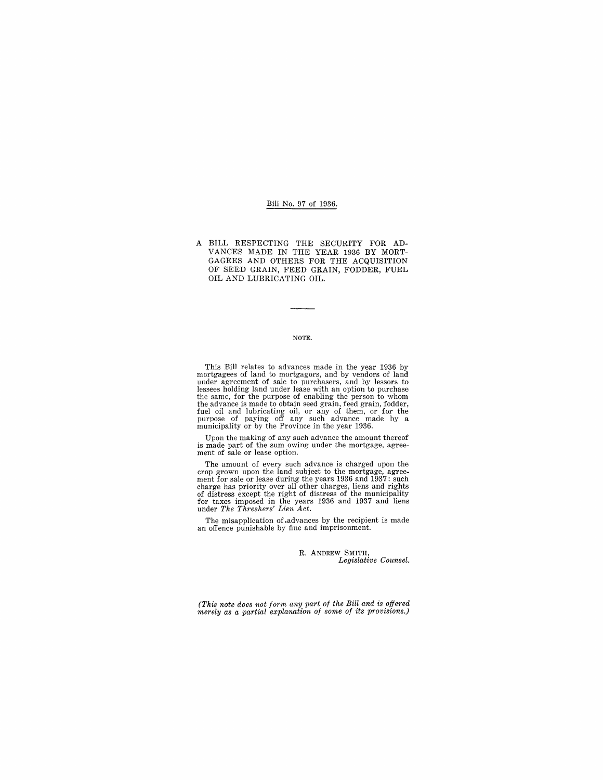### Bill No. 97 of 1936.

A BILL RESPECTING THE SECURITY FOR AD-VANCES MADE IN THE YEAR 1936 BY MORT-GAGEES AND OTHERS FOR THE ACQUISITION OF SEED GRAIN, FEED GRAIN, FODDER, FUEL OIL AND LUBRICATING OIL.

#### NOTE.

This Bill relates to advances made in the year 1936 by mortgagees of land to mortgagors, and by vendors of land<br>under agreement of sale to purchassers, and by lessors to<br>lessees holding land under lease with an option to purchase<br>the same, for the purpose of enabling the perso

Upon the making of any such advance the amount thereof is made part of the sum owing under the mortgage, agreement of sale or lease option.

The amount of every such advance is charged upon the crop grown upon the land subject to the mortgage, agreement for sale or lease during the years 1936 and 1937: such<br>charge has priority over all other charges, liens and rights<br>of distress except the right of distress of the municipality<br>for taxes imposed in the years 1936 and

The misapplication of .advances by the recipient is made an offence punishable by fine and imprisonment.

R. ANDREW SMITH, *Legislative Counsel.* 

*(This note does not form any part of the Bill and is offered merely as a partial explanation of some of its provisions.)*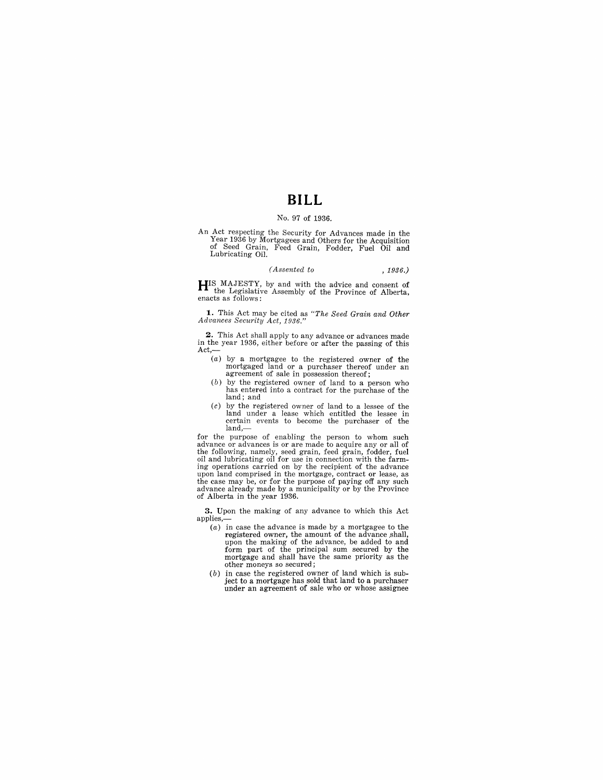# **BILL**

### No. 97 of 1936.

An Act respecting the Security for Advances made in the Year 1936 by Mortgagees and Others for the Acquisition of Seed Grain, Feed Grain, Fodder, Fuel Oil and Lubricating Oil.

#### *(Assented to* , 1936.)

**HIS** MAJESTY, by and with the advice and consent of the Legislative Assembly of the Province of Alberta, enacts as follows:

**1.** This Act may be cited as *"The Seed Grain and Other Advances Security Act, 1936."* 

**2.** This Act shall apply to any advance or advances made in the year 1936, either before or after the passing of this Act,-

- (a) by a mortgagee to the registered owner of the mortgaged land or a purchaser thereof under an agreement of sale in possession thereof;
- (b) by the registered owner of land to a person who has entered into a contract for the purchase of the land; and
- $(c)$  by the registered owner of land to a lessee of the land under a lease which entitled the lessee in certain events to become the purchaser of the land,-

for the purpose of enabling the person to whom such advance or advances is or are made to acquire any or all of the following, namely, seed grain, feed grain, fodder, fuel oil and lubricating oil for use in connection with the farm-ing operations carried on by the recipient of the advance upon land comprised in the mortgage, contract or lease, as the case may be, or for the purpose of paying off any such advance already made by a municipality or by the Province of Alberta in the year 1936.

**3.** Upon the making of any advance to which this Act applies,-

- (a) in case the advance is made by a mortgagee to the registered owner, the amount of the advance shall, upon the making of the advance, be added to and form part of the principal sum secured by the mortgage and shall have the same priority as the other moneys so secured;
- (b) in case the registered owner of land which is subject to a mortgage has sold that land to a purchaser under an agreement of sale who or whose assignee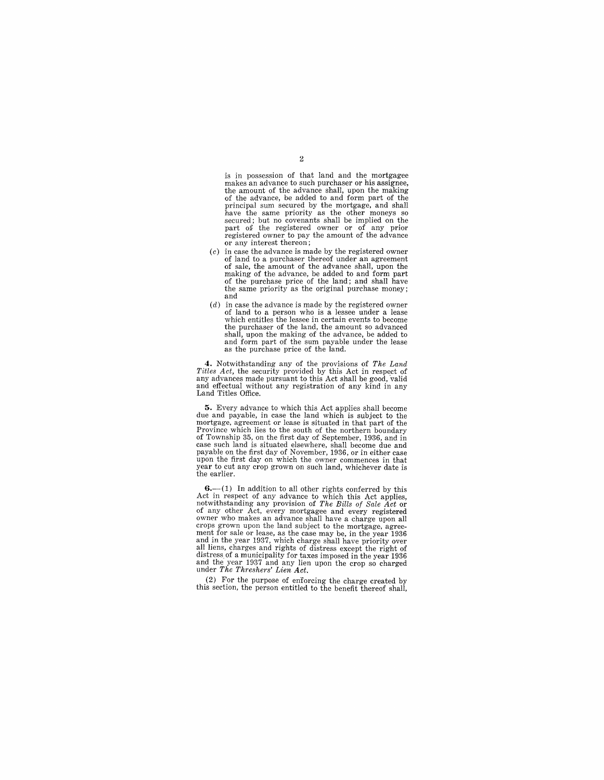is in possession of that land and the mortgagee makes an advance to such purchaser or his assignee, the amount of the advance shall, upon the making of the advance, be added to and form part of the principal sum secured by the mortgage, and shall secured; but no covenants shall be implied on the part of the registered owner or of any prior registered owner to pay the amount of the advance or any interest thereon;

- $(c)$  in case the advance is made by the registered owner in case the advance is made by the registered owner of land to a purchaser thereof under an agreement of sale, the amount of the advance shall, upon the making of the advance, be added to and form part of the purchase price of the land; and shall have the same priority as the original purchase money; and
- (d) in case the advance is made by the registered owner of land to a person who is a lessee under a lease which entitles the lessee in certain events to become the purchaser of the land, the amount so advanced shall, upon the making of the advance, be added to and form part of the sum payable under the lease as the purchase price of the land.

**4.** Notwithstanding any of the provisions of *The Land Titles Act,* the security provided by this Act in respect of any advances made pursuant to this Act shall be good, 'valid and effectual without any registration of any kind in any Land Titles Office.

**5.** Every advance to which this Act applies shall become due and payable, in case the land which is subject to the mortgage, agreement or lease is situated in that part of the Province which lies to the south of the northern boundary of Township 35, on the first day of September, 1936, and in case such land is situated elsewhere, shall become due and payable on the first day of November, 1936, or in either case upon the first day on which the owner commences in that year to cut any crop grown on such land, whichever date is the earlier.

 $-(1)$  In addition to all other rights conferred by this Act in respect of any advance to which this Act applies,<br>notwithstanding any provision of The Bills of Sale Act or notwithstanding any provision of *The Bills of Sale Act* or of any other Act, every mortgagee and every registered owner who makes an advance shall have a charge upon all crops grown upon the land subject to the mortgage, agreement for sale or lease, as the case may be, in the year 1936 and in the year 1937, which charge shall have priority over all liens, charges and rights of distress except the right of distress of a municipality for taxes imposed in the year 1936 and the year 1937 and any lien upon the crop so charged under *The Threshers' Lien Act.* 

(2) For the purpose of enforcing the charge created by this section, the person entitled to the benefit thereof shall,

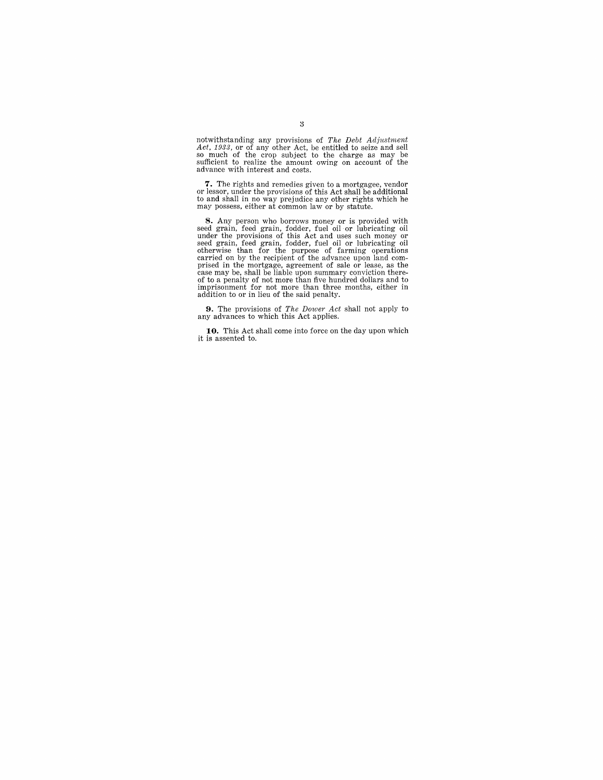notwithstanding any provisions of *The Debt Adjustment*<br>*Act, 1933*, or of any other Act, be entitled to seize and sell<br>so much of the crop subject to the charge as may be<br>sufficient to realize the amount owing on account

**7.** The rights and remedies given to a mortgagee, vendor or lessor, under the provisions of this Act shall be additional to and shall in no way prejudice any other rights which he may possess, either at common law or by s

**S.** Any person who borrows money or is provided with<br>seed grain, feed grain, fodder, fuel oil or lubricating oil<br>under the provisions of this Act and uses such money or<br>seed grain, feed grain, fodder, fuel oil or lubricat

**9.** The provisions of *The Dower Act* shall not apply to any advances to which this Act applies.

**10.** This Act shall come into force on the day upon which it is assented to.